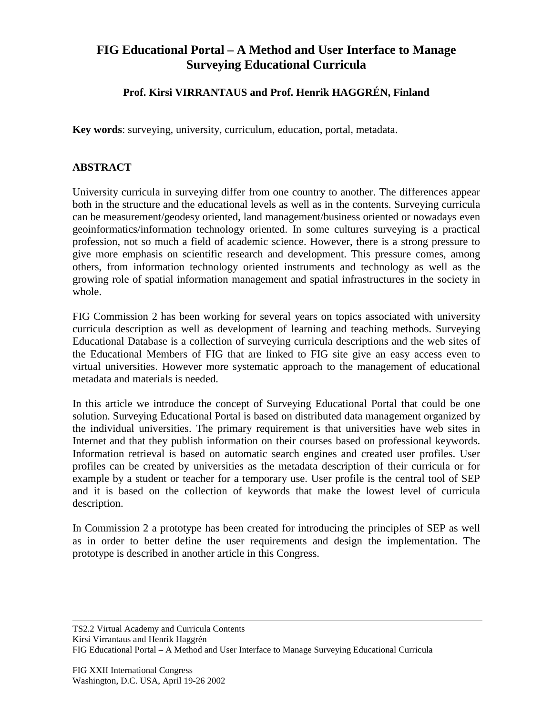## **FIG Educational Portal – A Method and User Interface to Manage Surveying Educational Curricula**

## **Prof. Kirsi VIRRANTAUS and Prof. Henrik HAGGRÉN, Finland**

**Key words**: surveying, university, curriculum, education, portal, metadata.

## **ABSTRACT**

University curricula in surveying differ from one country to another. The differences appear both in the structure and the educational levels as well as in the contents. Surveying curricula can be measurement/geodesy oriented, land management/business oriented or nowadays even geoinformatics/information technology oriented. In some cultures surveying is a practical profession, not so much a field of academic science. However, there is a strong pressure to give more emphasis on scientific research and development. This pressure comes, among others, from information technology oriented instruments and technology as well as the growing role of spatial information management and spatial infrastructures in the society in whole.

FIG Commission 2 has been working for several years on topics associated with university curricula description as well as development of learning and teaching methods. Surveying Educational Database is a collection of surveying curricula descriptions and the web sites of the Educational Members of FIG that are linked to FIG site give an easy access even to virtual universities. However more systematic approach to the management of educational metadata and materials is needed.

In this article we introduce the concept of Surveying Educational Portal that could be one solution. Surveying Educational Portal is based on distributed data management organized by the individual universities. The primary requirement is that universities have web sites in Internet and that they publish information on their courses based on professional keywords. Information retrieval is based on automatic search engines and created user profiles. User profiles can be created by universities as the metadata description of their curricula or for example by a student or teacher for a temporary use. User profile is the central tool of SEP and it is based on the collection of keywords that make the lowest level of curricula description.

In Commission 2 a prototype has been created for introducing the principles of SEP as well as in order to better define the user requirements and design the implementation. The prototype is described in another article in this Congress.